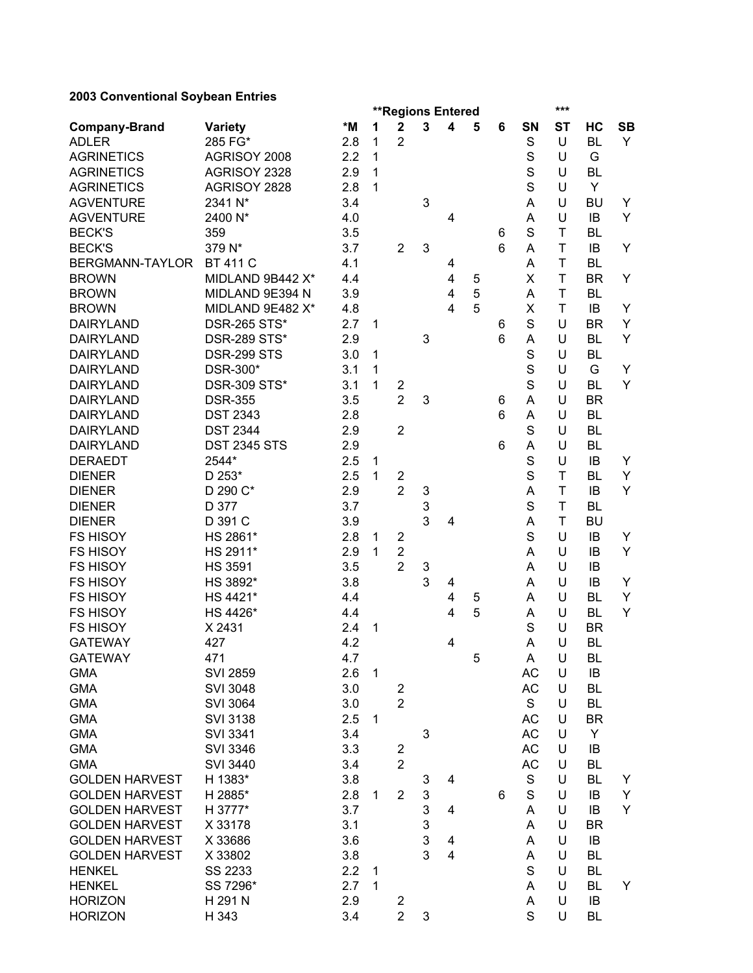## **2003 Conventional Soybean Entries**

|                                      |                                        |            |   | ***<br><b>**Regions Entered</b> |   |                         |   |   |             |             |                        |           |
|--------------------------------------|----------------------------------------|------------|---|---------------------------------|---|-------------------------|---|---|-------------|-------------|------------------------|-----------|
| <b>Company-Brand</b>                 | <b>Variety</b>                         | *M         | 1 | $\mathbf 2$                     | 3 | 4                       | 5 | 6 | <b>SN</b>   | <b>ST</b>   | HC                     | <b>SB</b> |
| <b>ADLER</b>                         | 285 FG*                                | 2.8        | 1 | $\overline{2}$                  |   |                         |   |   | S           | U           | <b>BL</b>              | Y         |
| <b>AGRINETICS</b>                    | AGRISOY 2008                           | 2.2        | 1 |                                 |   |                         |   |   | S           | U           | G                      |           |
| <b>AGRINETICS</b>                    | AGRISOY 2328                           | 2.9        | 1 |                                 |   |                         |   |   | S           | U           | <b>BL</b>              |           |
| <b>AGRINETICS</b>                    | AGRISOY 2828                           | 2.8        | 1 |                                 |   |                         |   |   | S           | U           | Y                      |           |
| <b>AGVENTURE</b>                     | 2341 N*                                | 3.4        |   |                                 | 3 |                         |   |   | A           | U           | <b>BU</b>              | Y         |
| <b>AGVENTURE</b>                     | 2400 N*                                | 4.0        |   |                                 |   | 4                       |   |   | A           | U           | IB                     | Y         |
| <b>BECK'S</b>                        | 359                                    | 3.5        |   |                                 |   |                         |   | 6 | S           | T           | <b>BL</b>              |           |
| <b>BECK'S</b>                        | 379 N*                                 | 3.7        |   | $\overline{2}$                  | 3 |                         |   | 6 | A           | T           | IB                     | Y         |
| BERGMANN-TAYLOR                      | <b>BT 411 C</b>                        | 4.1        |   |                                 |   | 4                       |   |   | Α           | T           | <b>BL</b>              |           |
| <b>BROWN</b>                         | MIDLAND 9B442 X*                       | 4.4        |   |                                 |   | $\overline{\mathbf{4}}$ | 5 |   | X           | T           | <b>BR</b>              | Y         |
| <b>BROWN</b>                         | MIDLAND 9E394 N                        | 3.9        |   |                                 |   | $\overline{4}$          | 5 |   | Α           | T           | <b>BL</b>              |           |
| <b>BROWN</b>                         | MIDLAND 9E482 X*                       | 4.8        |   |                                 |   | 4                       | 5 |   | X           | T           | IB                     | Y         |
| <b>DAIRYLAND</b>                     | <b>DSR-265 STS*</b>                    | 2.7        | 1 |                                 |   |                         |   | 6 | S           | U           | <b>BR</b>              | Υ         |
| <b>DAIRYLAND</b>                     | <b>DSR-289 STS*</b>                    | 2.9        |   |                                 | 3 |                         |   | 6 | Α           | U           | <b>BL</b>              | Y         |
| <b>DAIRYLAND</b>                     | <b>DSR-299 STS</b>                     | 3.0        | 1 |                                 |   |                         |   |   | S           | U           | <b>BL</b>              |           |
| <b>DAIRYLAND</b>                     | DSR-300*                               | 3.1        | 1 |                                 |   |                         |   |   | S           | U           | G                      | Y         |
| <b>DAIRYLAND</b>                     | <b>DSR-309 STS*</b>                    | 3.1        | 1 | 2                               |   |                         |   |   | S           | U           | <b>BL</b>              | Y         |
| <b>DAIRYLAND</b>                     | <b>DSR-355</b>                         | 3.5        |   | $\overline{2}$                  | 3 |                         |   | 6 | Α           | U           | <b>BR</b>              |           |
| <b>DAIRYLAND</b>                     | <b>DST 2343</b>                        | 2.8        |   |                                 |   |                         |   | 6 | A           | U           | <b>BL</b>              |           |
| <b>DAIRYLAND</b><br><b>DAIRYLAND</b> | <b>DST 2344</b><br><b>DST 2345 STS</b> | 2.9<br>2.9 |   | $\overline{2}$                  |   |                         |   |   | S           | U<br>U      | <b>BL</b><br><b>BL</b> |           |
| <b>DERAEDT</b>                       | 2544*                                  | 2.5        | 1 |                                 |   |                         |   | 6 | Α<br>S      | U           | IB                     | Y         |
| <b>DIENER</b>                        | D 253*                                 | 2.5        | 1 | $\overline{\mathbf{c}}$         |   |                         |   |   | S           | T           | <b>BL</b>              | Y         |
| <b>DIENER</b>                        | D 290 C*                               | 2.9        |   | $\overline{2}$                  | 3 |                         |   |   | A           | $\mathsf T$ | IB                     | Y         |
| <b>DIENER</b>                        | D 377                                  | 3.7        |   |                                 | 3 |                         |   |   | S           | $\mathsf T$ | <b>BL</b>              |           |
| <b>DIENER</b>                        | D 391 C                                | 3.9        |   |                                 | 3 | 4                       |   |   | A           | T           | <b>BU</b>              |           |
| <b>FS HISOY</b>                      | HS 2861*                               | 2.8        | 1 | $\overline{\mathbf{c}}$         |   |                         |   |   | S           | U           | IB                     | Y         |
| <b>FS HISOY</b>                      | HS 2911*                               | 2.9        | 1 | $\overline{\mathbf{c}}$         |   |                         |   |   | Α           | U           | IB                     | Y         |
| <b>FS HISOY</b>                      | <b>HS 3591</b>                         | 3.5        |   | $\overline{2}$                  | 3 |                         |   |   | Α           | U           | IB                     |           |
| <b>FS HISOY</b>                      | HS 3892*                               | 3.8        |   |                                 | 3 | 4                       |   |   | A           | U           | IB                     | Y         |
| <b>FS HISOY</b>                      | HS 4421*                               | 4.4        |   |                                 |   | 4                       | 5 |   | A           | U           | BL                     | Y         |
| <b>FS HISOY</b>                      | HS 4426*                               | 4.4        |   |                                 |   | $\overline{4}$          | 5 |   | Α           | U           | <b>BL</b>              | Y         |
| <b>FS HISOY</b>                      | X 2431                                 | 2.4        | 1 |                                 |   |                         |   |   | S           | U           | <b>BR</b>              |           |
| <b>GATEWAY</b>                       | 427                                    | 4.2        |   |                                 |   | 4                       |   |   | Α           | U           | <b>BL</b>              |           |
| <b>GATEWAY</b>                       | 471                                    | 4.7        |   |                                 |   |                         | 5 |   | A           | U           | BL                     |           |
| <b>GMA</b>                           | <b>SVI 2859</b>                        | 2.6        | 1 |                                 |   |                         |   |   | <b>AC</b>   | U           | IB                     |           |
| <b>GMA</b>                           | <b>SVI 3048</b>                        | 3.0        |   | $\overline{\mathbf{c}}$         |   |                         |   |   | AC          | U           | <b>BL</b>              |           |
| <b>GMA</b>                           | <b>SVI 3064</b>                        | 3.0        |   | $\overline{2}$                  |   |                         |   |   | S           | U           | BL                     |           |
| <b>GMA</b>                           | <b>SVI 3138</b>                        | 2.5        | 1 |                                 |   |                         |   |   | AC          | U           | <b>BR</b>              |           |
| <b>GMA</b>                           | <b>SVI 3341</b>                        | 3.4        |   |                                 | 3 |                         |   |   | AC          | U           | Y                      |           |
| <b>GMA</b>                           | <b>SVI 3346</b>                        | 3.3        |   | $\overline{\mathbf{c}}$         |   |                         |   |   | AC          | U           | IB                     |           |
| <b>GMA</b>                           | SVI 3440                               | 3.4        |   | $\overline{2}$                  |   |                         |   |   | AC          | U           | BL                     |           |
| <b>GOLDEN HARVEST</b>                | H 1383*                                | 3.8        |   |                                 | 3 | 4                       |   |   | $\mathbf S$ | U           | BL                     | Y         |
| <b>GOLDEN HARVEST</b>                | H 2885*                                | 2.8        | 1 | 2                               | 3 |                         |   | 6 | S           | U           | IB                     | Y         |
| <b>GOLDEN HARVEST</b>                | H 3777*                                | 3.7        |   |                                 | 3 | 4                       |   |   | A           | U           | IB                     | Y         |
| <b>GOLDEN HARVEST</b>                | X 33178                                | 3.1        |   |                                 | 3 |                         |   |   | A           | U           | BR                     |           |
| <b>GOLDEN HARVEST</b>                | X 33686                                | 3.6        |   |                                 | 3 | 4                       |   |   | A           | U           | IB                     |           |
| <b>GOLDEN HARVEST</b>                | X 33802                                | 3.8        |   |                                 | 3 | $\overline{4}$          |   |   | A           | U           | BL                     |           |
| <b>HENKEL</b>                        | SS 2233                                | 2.2        | 1 |                                 |   |                         |   |   | S           | U           | <b>BL</b>              |           |
| <b>HENKEL</b>                        | SS 7296*                               | 2.7        | 1 |                                 |   |                         |   |   | A           | U           | BL                     | Y         |
| <b>HORIZON</b>                       | H 291 N                                | 2.9        |   | 2                               |   |                         |   |   | A           | U           | IB                     |           |
| <b>HORIZON</b>                       | H 343                                  | 3.4        |   | $\overline{2}$                  | 3 |                         |   |   | S           | U           | <b>BL</b>              |           |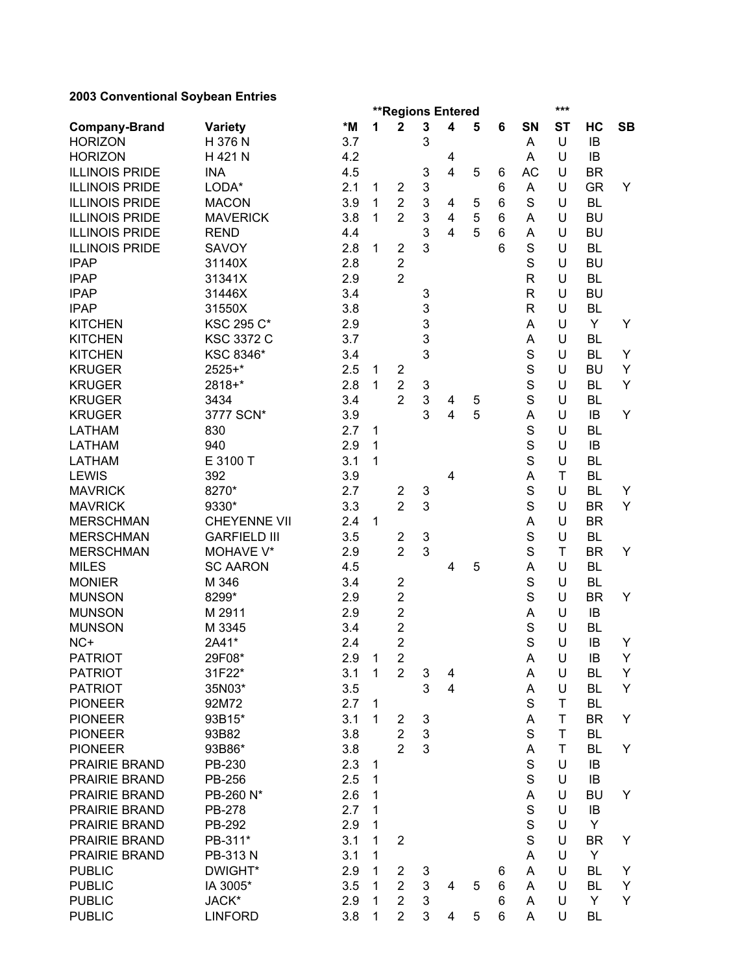## **2003 Conventional Soybean Entries**

|                                |                     |            | ***<br><b>**Regions Entered</b> |                         |        |                         |   |        |                            |             |                 |           |
|--------------------------------|---------------------|------------|---------------------------------|-------------------------|--------|-------------------------|---|--------|----------------------------|-------------|-----------------|-----------|
| <b>Company-Brand</b>           | <b>Variety</b>      | *M         | 1                               | $\mathbf 2$             | 3      | $\overline{\mathbf{4}}$ | 5 | 6      | SN                         | <b>ST</b>   | HC              | <b>SB</b> |
| <b>HORIZON</b>                 | H 376 N             | 3.7        |                                 |                         | 3      |                         |   |        | A                          | U           | IB              |           |
| <b>HORIZON</b>                 | H 421 N             | 4.2        |                                 |                         |        | 4                       |   |        | A                          | U           | IB              |           |
| <b>ILLINOIS PRIDE</b>          | <b>INA</b>          | 4.5        |                                 |                         | 3      | $\overline{\mathbf{4}}$ | 5 | 6      | <b>AC</b>                  | U           | <b>BR</b>       |           |
| <b>ILLINOIS PRIDE</b>          | LODA*               | 2.1        | 1                               | $\overline{2}$          | 3      |                         |   | 6      | A                          | U           | <b>GR</b>       | Y         |
| <b>ILLINOIS PRIDE</b>          | <b>MACON</b>        | 3.9        | 1                               | $\overline{2}$          | 3      | 4                       | 5 | 6      | S                          | U           | <b>BL</b>       |           |
| <b>ILLINOIS PRIDE</b>          | <b>MAVERICK</b>     | 3.8        | 1                               | $\overline{2}$          | 3      | $\overline{\mathbf{4}}$ | 5 | 6      | Α                          | U           | <b>BU</b>       |           |
| <b>ILLINOIS PRIDE</b>          | <b>REND</b>         | 4.4        |                                 |                         | 3      | $\overline{4}$          | 5 | 6      | A                          | U           | <b>BU</b>       |           |
| <b>ILLINOIS PRIDE</b>          | SAVOY               | 2.8        | 1                               | $\overline{2}$          | 3      |                         |   | 6      | S                          | U           | <b>BL</b>       |           |
| <b>IPAP</b>                    | 31140X              | 2.8        |                                 | $\overline{2}$          |        |                         |   |        | S                          | U           | <b>BU</b>       |           |
| <b>IPAP</b>                    | 31341X              | 2.9        |                                 | $\overline{2}$          |        |                         |   |        | $\mathsf R$                | U           | <b>BL</b>       |           |
| <b>IPAP</b>                    | 31446X              | 3.4        |                                 |                         | 3      |                         |   |        | $\mathsf R$                | U           | <b>BU</b>       |           |
| <b>IPAP</b>                    | 31550X              | 3.8        |                                 |                         | 3      |                         |   |        | $\mathsf{R}$               | U           | <b>BL</b>       |           |
| <b>KITCHEN</b>                 | <b>KSC 295 C*</b>   | 2.9        |                                 |                         | 3      |                         |   |        | Α                          | U           | Y               | Y         |
| <b>KITCHEN</b>                 | <b>KSC 3372 C</b>   | 3.7        |                                 |                         | 3      |                         |   |        | A                          | U           | <b>BL</b>       |           |
| <b>KITCHEN</b>                 | KSC 8346*           | 3.4        |                                 |                         | 3      |                         |   |        | S                          | U           | <b>BL</b>       | Y         |
| <b>KRUGER</b>                  | 2525+*              | 2.5        | 1                               | $\overline{\mathbf{c}}$ |        |                         |   |        | S                          | U           | <b>BU</b>       | Y         |
| <b>KRUGER</b>                  | 2818+*              | 2.8        | 1                               | $\overline{2}$          | 3      |                         |   |        | S                          | U           | <b>BL</b>       | Y         |
| <b>KRUGER</b>                  | 3434                | 3.4        |                                 | $\overline{2}$          | 3<br>3 | 4                       | 5 |        | S                          | U           | <b>BL</b>       | Y         |
| <b>KRUGER</b>                  | 3777 SCN*           | 3.9<br>2.7 |                                 |                         |        | $\overline{\mathbf{4}}$ | 5 |        | A                          | U<br>U      | IB<br><b>BL</b> |           |
| <b>LATHAM</b><br><b>LATHAM</b> | 830<br>940          | 2.9        | 1<br>1                          |                         |        |                         |   |        | $\mathbf S$<br>$\mathbf S$ | U           | IB              |           |
| <b>LATHAM</b>                  | E 3100 T            | 3.1        | 1                               |                         |        |                         |   |        | S                          | U           | <b>BL</b>       |           |
| <b>LEWIS</b>                   | 392                 | 3.9        |                                 |                         |        | $\overline{4}$          |   |        | A                          | $\mathsf T$ | <b>BL</b>       |           |
| <b>MAVRICK</b>                 | 8270*               | 2.7        |                                 | $\overline{\mathbf{c}}$ | 3      |                         |   |        | S                          | U           | <b>BL</b>       | Y         |
| <b>MAVRICK</b>                 | 9330*               | 3.3        |                                 | $\overline{2}$          | 3      |                         |   |        | S                          | U           | <b>BR</b>       | Y         |
| <b>MERSCHMAN</b>               | <b>CHEYENNE VII</b> | 2.4        | 1                               |                         |        |                         |   |        | A                          | U           | <b>BR</b>       |           |
| <b>MERSCHMAN</b>               | <b>GARFIELD III</b> | 3.5        |                                 | $\overline{\mathbf{c}}$ | 3      |                         |   |        | S                          | U           | <b>BL</b>       |           |
| <b>MERSCHMAN</b>               | MOHAVE V*           | 2.9        |                                 | $\overline{2}$          | 3      |                         |   |        | S                          | T           | <b>BR</b>       | Y         |
| <b>MILES</b>                   | <b>SC AARON</b>     | 4.5        |                                 |                         |        | 4                       | 5 |        | Α                          | U           | <b>BL</b>       |           |
| <b>MONIER</b>                  | M 346               | 3.4        |                                 | $\overline{2}$          |        |                         |   |        | S                          | U           | <b>BL</b>       |           |
| <b>MUNSON</b>                  | 8299*               | 2.9        |                                 | $\overline{c}$          |        |                         |   |        | S                          | U           | <b>BR</b>       | Y         |
| <b>MUNSON</b>                  | M 2911              | 2.9        |                                 | $\overline{c}$          |        |                         |   |        | A                          | U           | IB              |           |
| <b>MUNSON</b>                  | M 3345              | 3.4        |                                 | $\overline{\mathbf{c}}$ |        |                         |   |        | S                          | U           | <b>BL</b>       |           |
| NC+                            | 2A41*               | 2.4        |                                 | $\overline{2}$          |        |                         |   |        | S                          | U           | IB              | Y         |
| <b>PATRIOT</b>                 | 29F08*              | 2.9        | 1                               | 2                       |        |                         |   |        | Α                          | U           | IB              | Y         |
| <b>PATRIOT</b>                 | 31F22*              | 3.1        | 1                               | $\overline{2}$          | 3      | 4                       |   |        | A                          | U           | <b>BL</b>       | Y         |
| <b>PATRIOT</b>                 | 35N03*              | 3.5        |                                 |                         | 3      | $\overline{\mathbf{4}}$ |   |        | Α                          | U           | BL              | Y         |
| <b>PIONEER</b>                 | 92M72               | 2.7        | 1                               |                         |        |                         |   |        | S                          | T           | <b>BL</b>       |           |
| <b>PIONEER</b>                 | 93B15*              | 3.1        | 1                               | $\overline{2}$          | 3      |                         |   |        | A                          | T           | <b>BR</b>       | Y         |
| <b>PIONEER</b>                 | 93B82               | 3.8        |                                 | $\overline{2}$          | 3      |                         |   |        | $\mathbf S$                | Τ           | BL              |           |
| <b>PIONEER</b>                 | 93B86*              | 3.8        |                                 | $\overline{2}$          | 3      |                         |   |        | Α                          | Τ           | <b>BL</b>       | Y         |
| <b>PRAIRIE BRAND</b>           | PB-230              | 2.3        | 1                               |                         |        |                         |   |        | $\mathbf S$                | U           | IB              |           |
| PRAIRIE BRAND                  | PB-256              | 2.5        | 1                               |                         |        |                         |   |        | S                          | U           | IB              |           |
| PRAIRIE BRAND                  | PB-260 N*           | 2.6        | 1                               |                         |        |                         |   |        | A                          | U           | BU              | Y         |
| PRAIRIE BRAND                  | PB-278              | 2.7        | 1                               |                         |        |                         |   |        | S                          | U           | IB              |           |
| PRAIRIE BRAND                  | PB-292              | 2.9        | 1                               |                         |        |                         |   |        | S                          | U           | Y               |           |
| PRAIRIE BRAND<br>PRAIRIE BRAND | PB-311*             | 3.1<br>3.1 | 1                               | $\overline{\mathbf{c}}$ |        |                         |   |        | S                          | U<br>U      | <b>BR</b>       | Y         |
| <b>PUBLIC</b>                  | PB-313 N<br>DWIGHT* | 2.9        | 1<br>1                          | $\overline{2}$          |        |                         |   |        | A<br>A                     | U           | Y<br><b>BL</b>  | Y         |
| <b>PUBLIC</b>                  | IA 3005*            | 3.5        | 1                               | $\overline{2}$          | 3<br>3 | 4                       | 5 | 6<br>6 | A                          | U           | <b>BL</b>       | Y         |
| <b>PUBLIC</b>                  | JACK*               | 2.9        | 1                               | $\overline{2}$          | 3      |                         |   | 6      | A                          | U           | Y               | Y         |
| <b>PUBLIC</b>                  | <b>LINFORD</b>      | 3.8        | 1                               | $\overline{2}$          | 3      | 4                       | 5 | 6      | Α                          | U           | <b>BL</b>       |           |
|                                |                     |            |                                 |                         |        |                         |   |        |                            |             |                 |           |